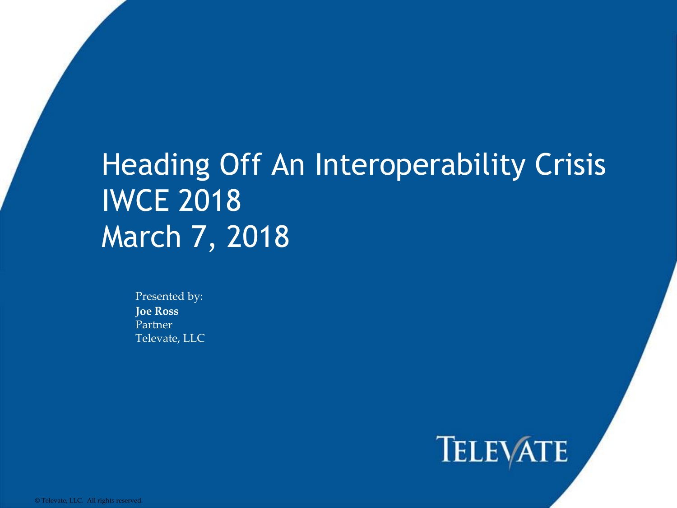#### Heading Off An Interoperability Crisis IWCE 2018 March 7, 2018

Presented by: **Joe Ross** Partner Televate, LLC

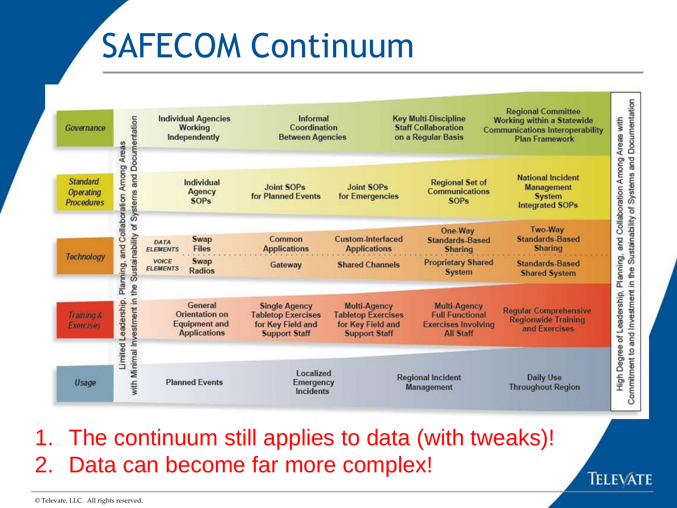# SAFECOM Continuum



1. The continuum still applies to data (with tweaks)! 2. Data can become far more complex!

© Televate, LLC. All rights reserved.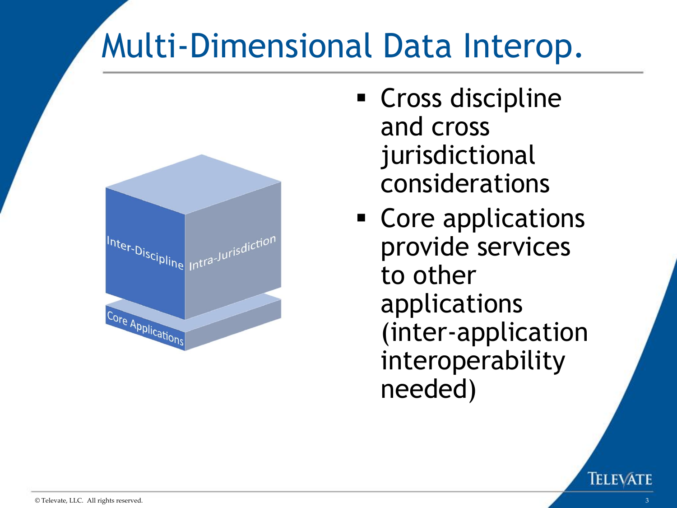### Multi-Dimensional Data Interop.



- Cross discipline and cross jurisdictional considerations
- Core applications provide services to other applications (inter-application interoperability needed)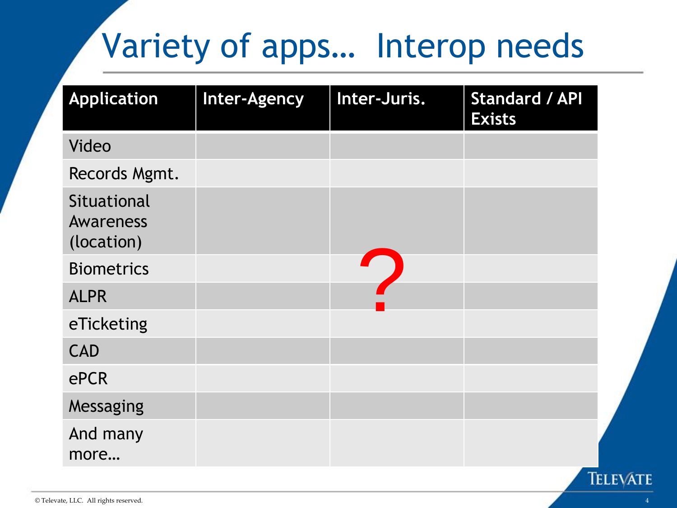## Variety of apps… Interop needs

| <b>Application</b>                            | Inter-Agency | Inter-Juris. | <b>Standard / API</b><br><b>Exists</b> |
|-----------------------------------------------|--------------|--------------|----------------------------------------|
| Video                                         |              |              |                                        |
| Records Mgmt.                                 |              |              |                                        |
| Situational<br><b>Awareness</b><br>(location) |              |              |                                        |
| <b>Biometrics</b>                             |              |              |                                        |
| <b>ALPR</b>                                   |              |              |                                        |
| eTicketing                                    |              |              |                                        |
| <b>CAD</b>                                    |              |              |                                        |
| ePCR                                          |              |              |                                        |
| Messaging                                     |              |              |                                        |
| And many<br>more                              |              |              |                                        |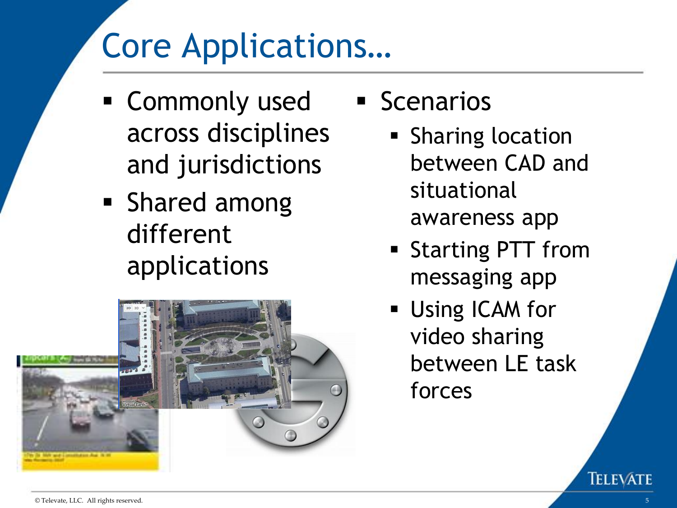## Core Applications…

- Commonly used across disciplines and jurisdictions
- Shared among different applications



- **E** Scenarios
	- **Example Sharing location** between CAD and situational awareness app
	- Starting PTT from messaging app
	- **Using ICAM for** video sharing between LE task forces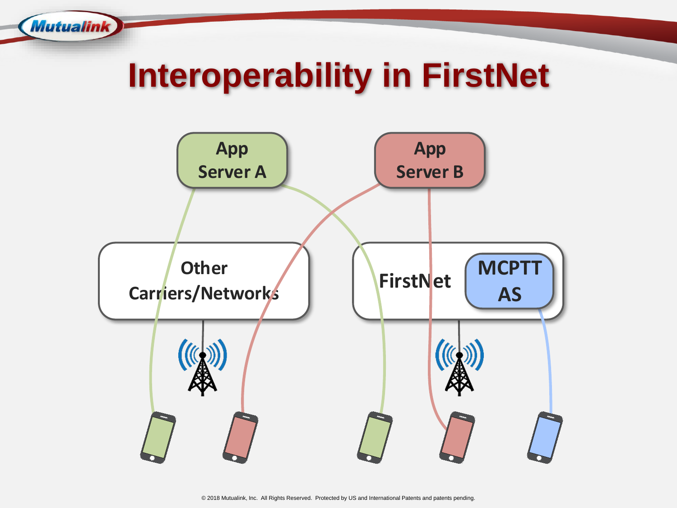### **Interoperability in FirstNet**

**Mutualink** 

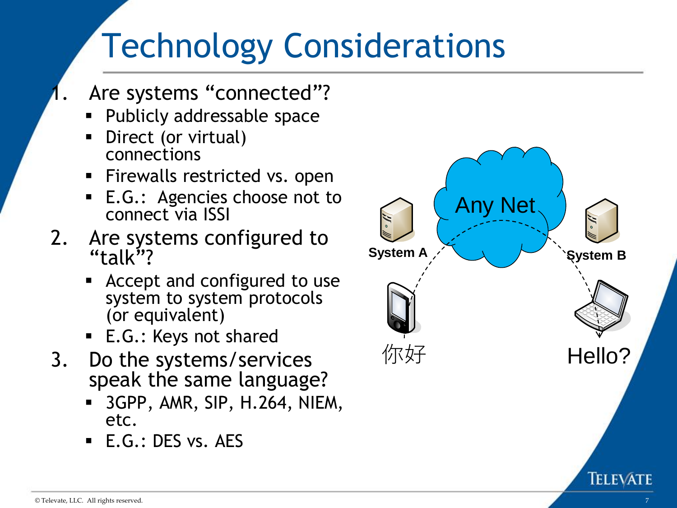## Technology Considerations

- Are systems "connected"?
	- Publicly addressable space
	- Direct (or virtual) connections
	- **EXECT** Firewalls restricted vs. open
	- E.G.: Agencies choose not to connect via ISSI
- 2. Are systems configured to "talk"?
	- Accept and configured to use system to system protocols (or equivalent)
	- E.G.: Keys not shared
- 3. Do the systems/services speak the same language?
	- 3GPP, AMR, SIP, H.264, NIEM, etc.
	- $\blacksquare$  E.G.: DES vs. AES

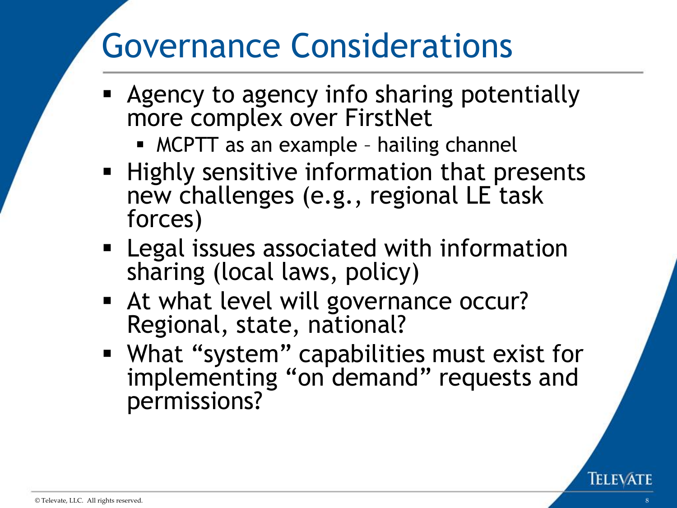### Governance Considerations

- Agency to agency info sharing potentially more complex over FirstNet
	- MCPTT as an example hailing channel
- **EXTE:** Highly sensitive information that presents new challenges (e.g., regional LE task forces)
- Legal issues associated with information sharing (local laws, policy)
- At what level will governance occur? Regional, state, national?
- What "system" capabilities must exist for implementing "on demand" requests and permissions?

**IELEV**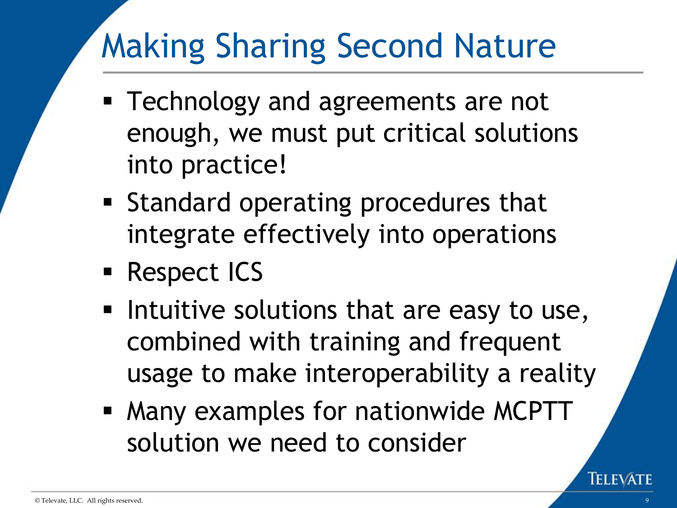## Making Sharing Second Nature

- Technology and agreements are not enough, we must put critical solutions into practice!
- Standard operating procedures that integrate effectively into operations
- Respect ICS
- **.** Intuitive solutions that are easy to use, combined with training and frequent usage to make interoperability a reality
- Many examples for nationwide MCPTT solution we need to consider